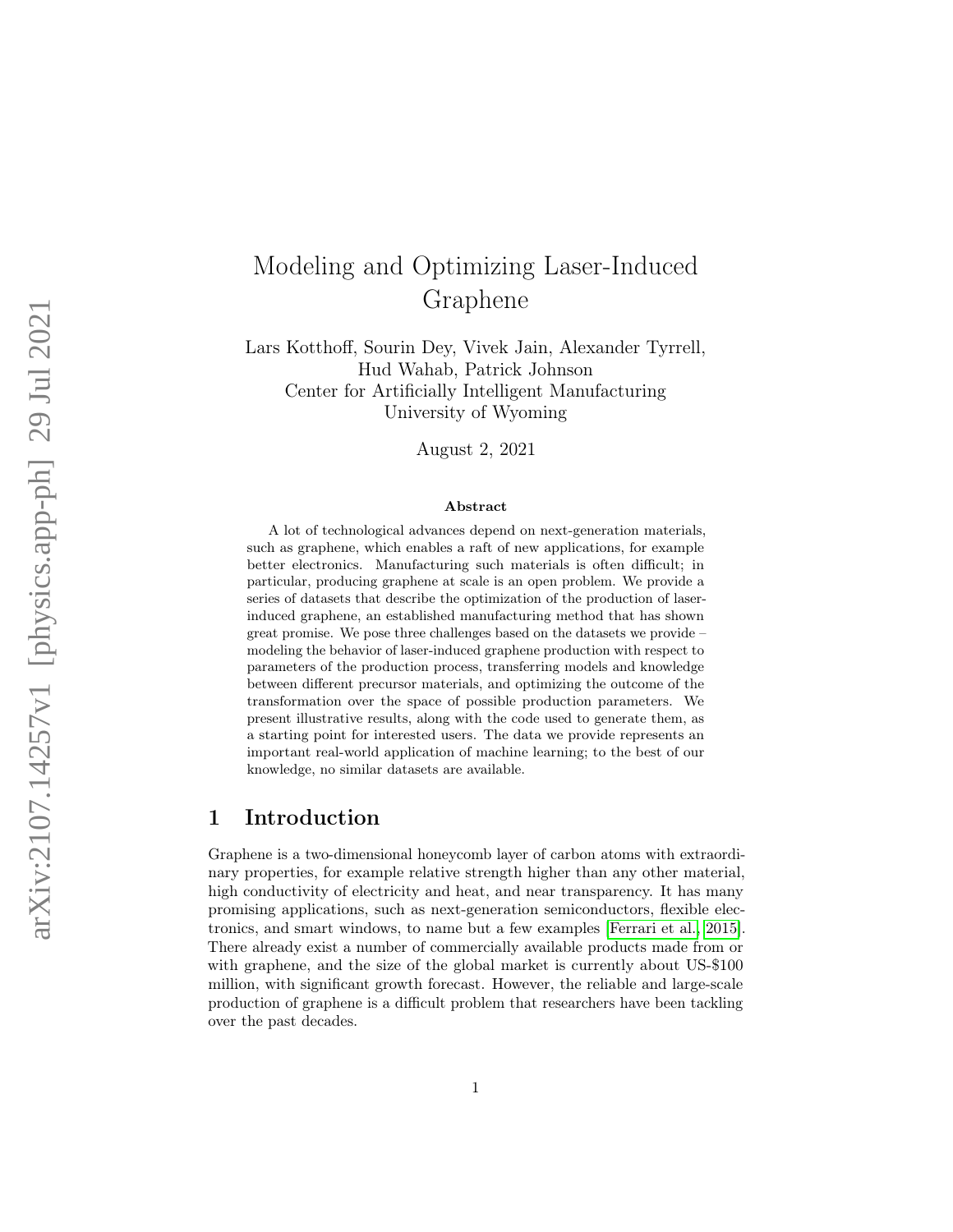# Modeling and Optimizing Laser-Induced Graphene

Lars Kotthoff, Sourin Dey, Vivek Jain, Alexander Tyrrell, Hud Wahab, Patrick Johnson Center for Artificially Intelligent Manufacturing University of Wyoming

August 2, 2021

#### Abstract

A lot of technological advances depend on next-generation materials, such as graphene, which enables a raft of new applications, for example better electronics. Manufacturing such materials is often difficult; in particular, producing graphene at scale is an open problem. We provide a series of datasets that describe the optimization of the production of laserinduced graphene, an established manufacturing method that has shown great promise. We pose three challenges based on the datasets we provide – modeling the behavior of laser-induced graphene production with respect to parameters of the production process, transferring models and knowledge between different precursor materials, and optimizing the outcome of the transformation over the space of possible production parameters. We present illustrative results, along with the code used to generate them, as a starting point for interested users. The data we provide represents an important real-world application of machine learning; to the best of our knowledge, no similar datasets are available.

# 1 Introduction

Graphene is a two-dimensional honeycomb layer of carbon atoms with extraordinary properties, for example relative strength higher than any other material, high conductivity of electricity and heat, and near transparency. It has many promising applications, such as next-generation semiconductors, flexible electronics, and smart windows, to name but a few examples [\[Ferrari et al., 2015\]](#page-12-0). There already exist a number of commercially available products made from or with graphene, and the size of the global market is currently about US-\$100 million, with significant growth forecast. However, the reliable and large-scale production of graphene is a difficult problem that researchers have been tackling over the past decades.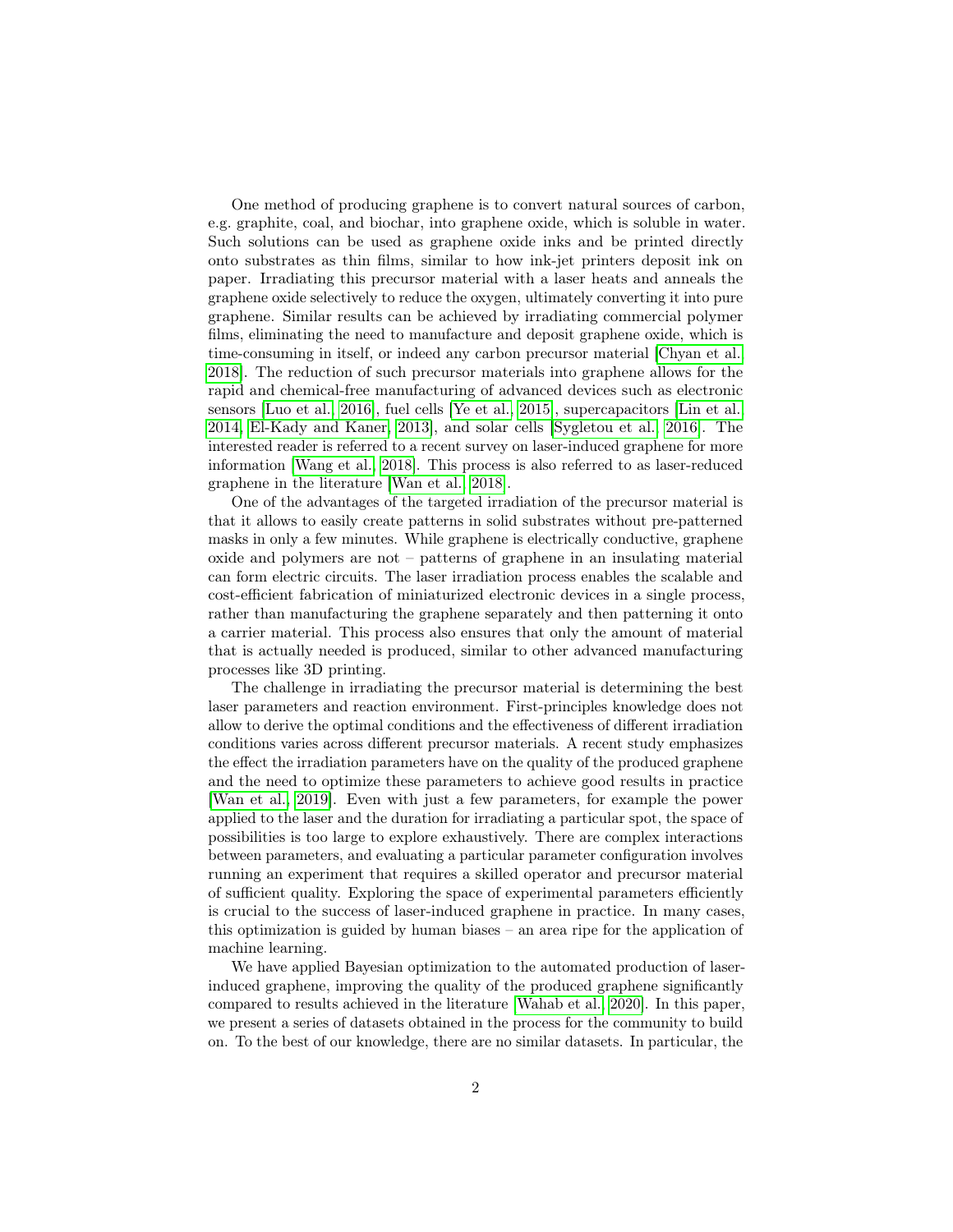One method of producing graphene is to convert natural sources of carbon, e.g. graphite, coal, and biochar, into graphene oxide, which is soluble in water. Such solutions can be used as graphene oxide inks and be printed directly onto substrates as thin films, similar to how ink-jet printers deposit ink on paper. Irradiating this precursor material with a laser heats and anneals the graphene oxide selectively to reduce the oxygen, ultimately converting it into pure graphene. Similar results can be achieved by irradiating commercial polymer films, eliminating the need to manufacture and deposit graphene oxide, which is time-consuming in itself, or indeed any carbon precursor material [\[Chyan et al.,](#page-12-1) [2018\]](#page-12-1). The reduction of such precursor materials into graphene allows for the rapid and chemical-free manufacturing of advanced devices such as electronic sensors [\[Luo et al., 2016\]](#page-13-0), fuel cells [\[Ye et al., 2015\]](#page-14-0), supercapacitors [\[Lin et al.,](#page-13-1) [2014,](#page-13-1) [El-Kady and Kaner, 2013\]](#page-12-2), and solar cells [\[Sygletou et al., 2016\]](#page-13-2). The interested reader is referred to a recent survey on laser-induced graphene for more information [\[Wang et al., 2018\]](#page-13-3). This process is also referred to as laser-reduced graphene in the literature [\[Wan et al., 2018\]](#page-13-4).

One of the advantages of the targeted irradiation of the precursor material is that it allows to easily create patterns in solid substrates without pre-patterned masks in only a few minutes. While graphene is electrically conductive, graphene oxide and polymers are not – patterns of graphene in an insulating material can form electric circuits. The laser irradiation process enables the scalable and cost-efficient fabrication of miniaturized electronic devices in a single process, rather than manufacturing the graphene separately and then patterning it onto a carrier material. This process also ensures that only the amount of material that is actually needed is produced, similar to other advanced manufacturing processes like 3D printing.

The challenge in irradiating the precursor material is determining the best laser parameters and reaction environment. First-principles knowledge does not allow to derive the optimal conditions and the effectiveness of different irradiation conditions varies across different precursor materials. A recent study emphasizes the effect the irradiation parameters have on the quality of the produced graphene and the need to optimize these parameters to achieve good results in practice [\[Wan et al., 2019\]](#page-13-5). Even with just a few parameters, for example the power applied to the laser and the duration for irradiating a particular spot, the space of possibilities is too large to explore exhaustively. There are complex interactions between parameters, and evaluating a particular parameter configuration involves running an experiment that requires a skilled operator and precursor material of sufficient quality. Exploring the space of experimental parameters efficiently is crucial to the success of laser-induced graphene in practice. In many cases, this optimization is guided by human biases – an area ripe for the application of machine learning.

We have applied Bayesian optimization to the automated production of laserinduced graphene, improving the quality of the produced graphene significantly compared to results achieved in the literature [\[Wahab et al., 2020\]](#page-13-6). In this paper, we present a series of datasets obtained in the process for the community to build on. To the best of our knowledge, there are no similar datasets. In particular, the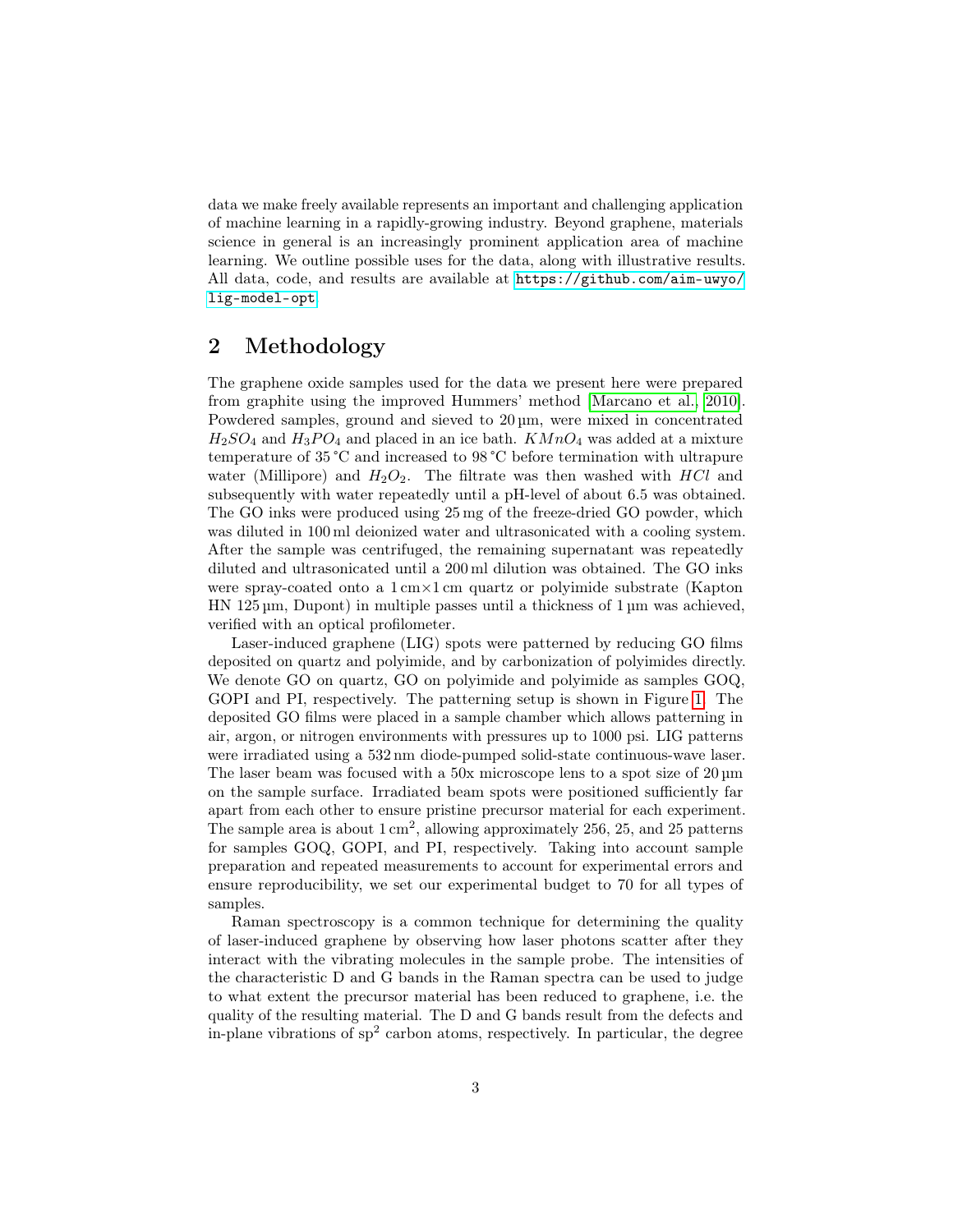data we make freely available represents an important and challenging application of machine learning in a rapidly-growing industry. Beyond graphene, materials science in general is an increasingly prominent application area of machine learning. We outline possible uses for the data, along with illustrative results. All data, code, and results are available at [https://github.com/aim-uwyo/](https://github.com/aim-uwyo/lig-model-opt) [lig-model-opt](https://github.com/aim-uwyo/lig-model-opt).

# 2 Methodology

The graphene oxide samples used for the data we present here were prepared from graphite using the improved Hummers' method [\[Marcano et al., 2010\]](#page-13-7). Powdered samples, ground and sieved to 20 µm, were mixed in concentrated  $H_2SO_4$  and  $H_3PO_4$  and placed in an ice bath.  $KMnO_4$  was added at a mixture temperature of 35 °C and increased to 98 °C before termination with ultrapure water (Millipore) and  $H_2O_2$ . The filtrate was then washed with HCl and subsequently with water repeatedly until a pH-level of about 6.5 was obtained. The GO inks were produced using 25 mg of the freeze-dried GO powder, which was diluted in 100 ml deionized water and ultrasonicated with a cooling system. After the sample was centrifuged, the remaining supernatant was repeatedly diluted and ultrasonicated until a 200 ml dilution was obtained. The GO inks were spray-coated onto a 1 cm×1 cm quartz or polyimide substrate (Kapton HN 125 µm, Dupont) in multiple passes until a thickness of 1 µm was achieved, verified with an optical profilometer.

Laser-induced graphene (LIG) spots were patterned by reducing GO films deposited on quartz and polyimide, and by carbonization of polyimides directly. We denote GO on quartz, GO on polyimide and polyimide as samples GOQ, GOPI and PI, respectively. The patterning setup is shown in Figure [1.](#page-3-0) The deposited GO films were placed in a sample chamber which allows patterning in air, argon, or nitrogen environments with pressures up to 1000 psi. LIG patterns were irradiated using a 532 nm diode-pumped solid-state continuous-wave laser. The laser beam was focused with a 50x microscope lens to a spot size of 20  $\mu$ m on the sample surface. Irradiated beam spots were positioned sufficiently far apart from each other to ensure pristine precursor material for each experiment. The sample area is about  $1 \text{ cm}^2$ , allowing approximately 256, 25, and 25 patterns for samples GOQ, GOPI, and PI, respectively. Taking into account sample preparation and repeated measurements to account for experimental errors and ensure reproducibility, we set our experimental budget to 70 for all types of samples.

Raman spectroscopy is a common technique for determining the quality of laser-induced graphene by observing how laser photons scatter after they interact with the vibrating molecules in the sample probe. The intensities of the characteristic D and G bands in the Raman spectra can be used to judge to what extent the precursor material has been reduced to graphene, i.e. the quality of the resulting material. The D and G bands result from the defects and in-plane vibrations of  $sp<sup>2</sup>$  carbon atoms, respectively. In particular, the degree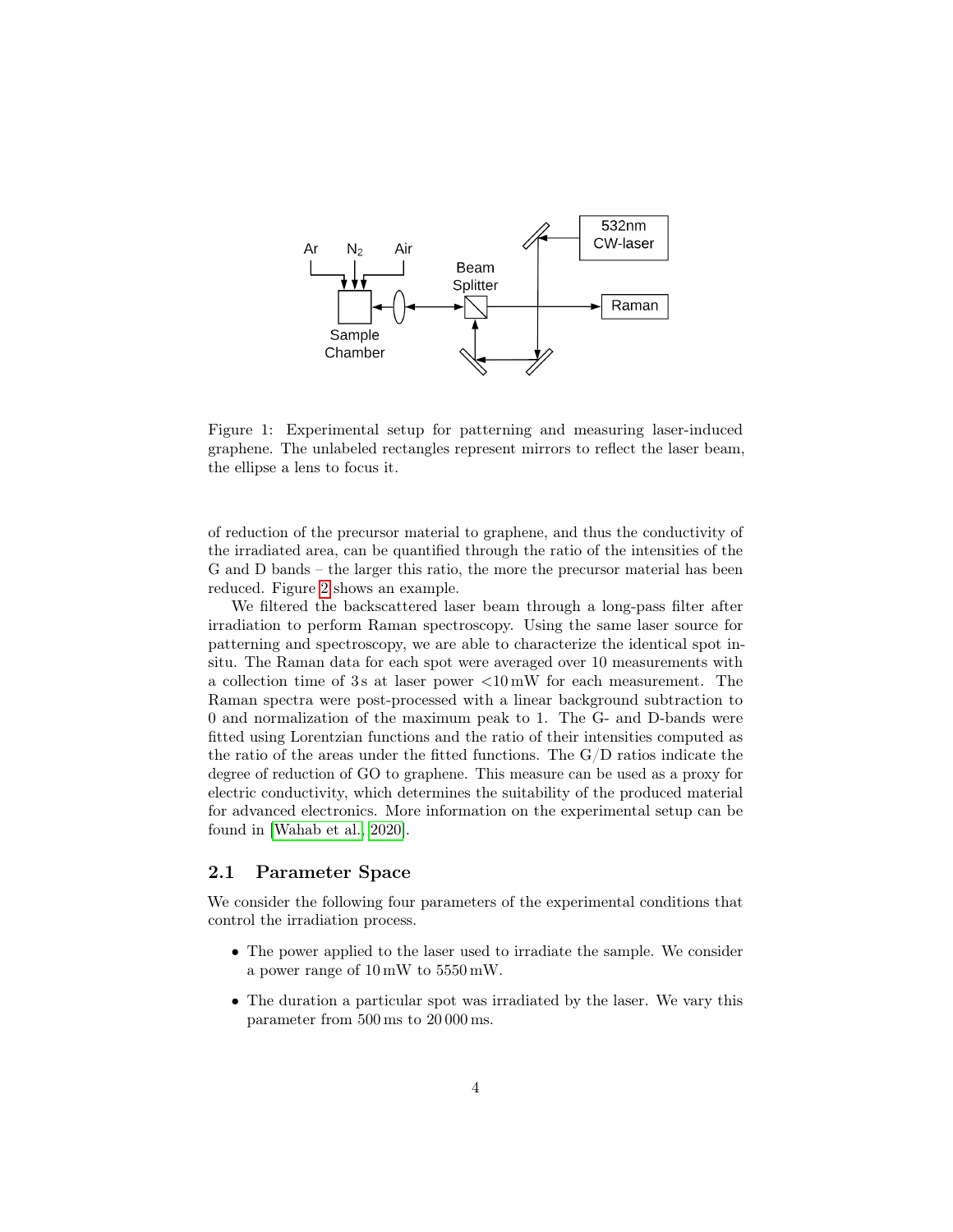

<span id="page-3-0"></span>Figure 1: Experimental setup for patterning and measuring laser-induced graphene. The unlabeled rectangles represent mirrors to reflect the laser beam, the ellipse a lens to focus it.

of reduction of the precursor material to graphene, and thus the conductivity of the irradiated area, can be quantified through the ratio of the intensities of the G and D bands – the larger this ratio, the more the precursor material has been reduced. Figure [2](#page-4-0) shows an example.

We filtered the backscattered laser beam through a long-pass filter after irradiation to perform Raman spectroscopy. Using the same laser source for patterning and spectroscopy, we are able to characterize the identical spot insitu. The Raman data for each spot were averaged over 10 measurements with a collection time of 3 s at laser power <10 mW for each measurement. The Raman spectra were post-processed with a linear background subtraction to 0 and normalization of the maximum peak to 1. The G- and D-bands were fitted using Lorentzian functions and the ratio of their intensities computed as the ratio of the areas under the fitted functions. The G/D ratios indicate the degree of reduction of GO to graphene. This measure can be used as a proxy for electric conductivity, which determines the suitability of the produced material for advanced electronics. More information on the experimental setup can be found in [\[Wahab et al., 2020\]](#page-13-6).

#### 2.1 Parameter Space

We consider the following four parameters of the experimental conditions that control the irradiation process.

- The power applied to the laser used to irradiate the sample. We consider a power range of 10 mW to 5550 mW.
- The duration a particular spot was irradiated by the laser. We vary this parameter from 500 ms to 20 000 ms.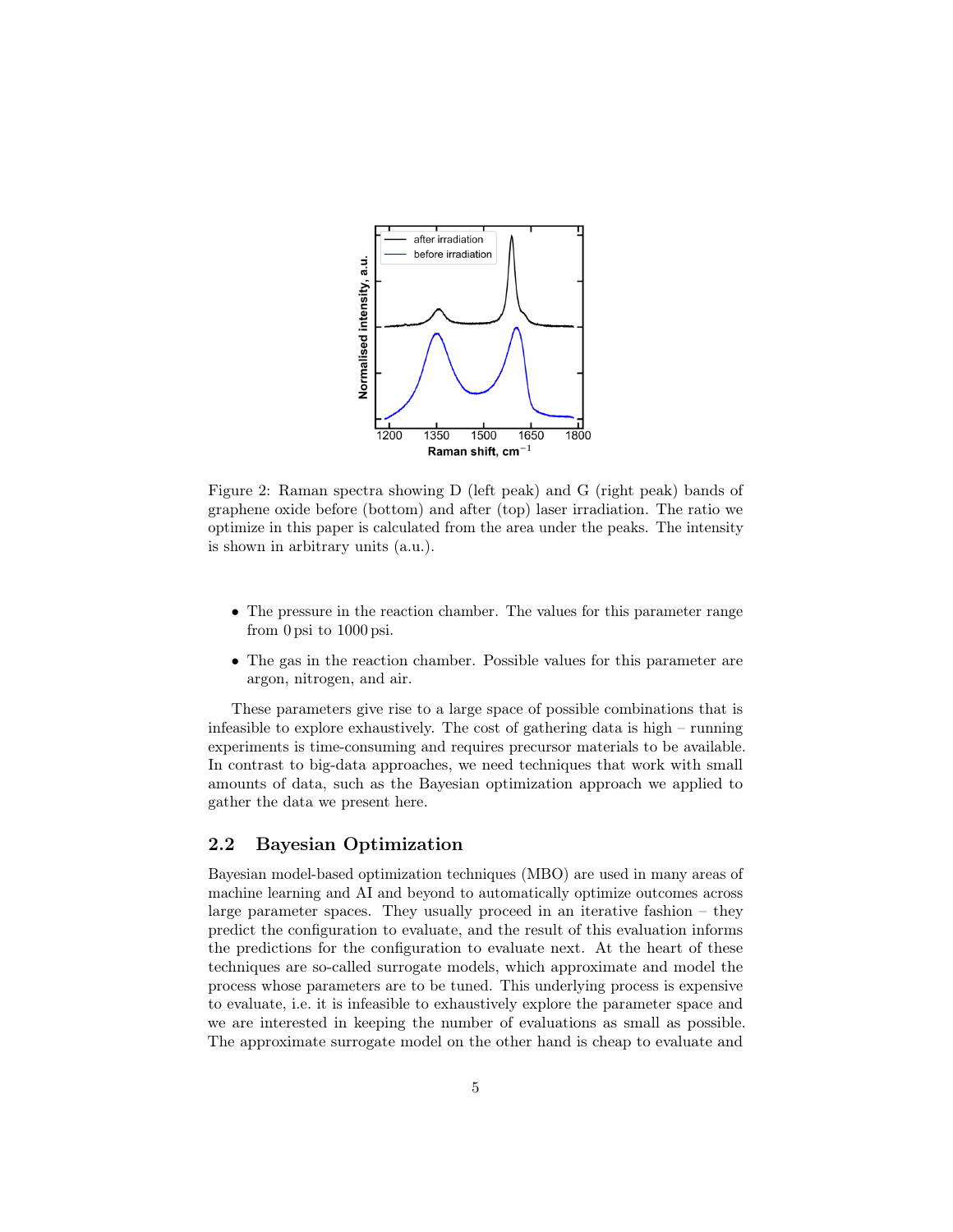

<span id="page-4-0"></span>Figure 2: Raman spectra showing D (left peak) and G (right peak) bands of graphene oxide before (bottom) and after (top) laser irradiation. The ratio we optimize in this paper is calculated from the area under the peaks. The intensity is shown in arbitrary units (a.u.).

- The pressure in the reaction chamber. The values for this parameter range from 0 psi to 1000 psi.
- The gas in the reaction chamber. Possible values for this parameter are argon, nitrogen, and air.

These parameters give rise to a large space of possible combinations that is infeasible to explore exhaustively. The cost of gathering data is high – running experiments is time-consuming and requires precursor materials to be available. In contrast to big-data approaches, we need techniques that work with small amounts of data, such as the Bayesian optimization approach we applied to gather the data we present here.

#### 2.2 Bayesian Optimization

Bayesian model-based optimization techniques (MBO) are used in many areas of machine learning and AI and beyond to automatically optimize outcomes across large parameter spaces. They usually proceed in an iterative fashion – they predict the configuration to evaluate, and the result of this evaluation informs the predictions for the configuration to evaluate next. At the heart of these techniques are so-called surrogate models, which approximate and model the process whose parameters are to be tuned. This underlying process is expensive to evaluate, i.e. it is infeasible to exhaustively explore the parameter space and we are interested in keeping the number of evaluations as small as possible. The approximate surrogate model on the other hand is cheap to evaluate and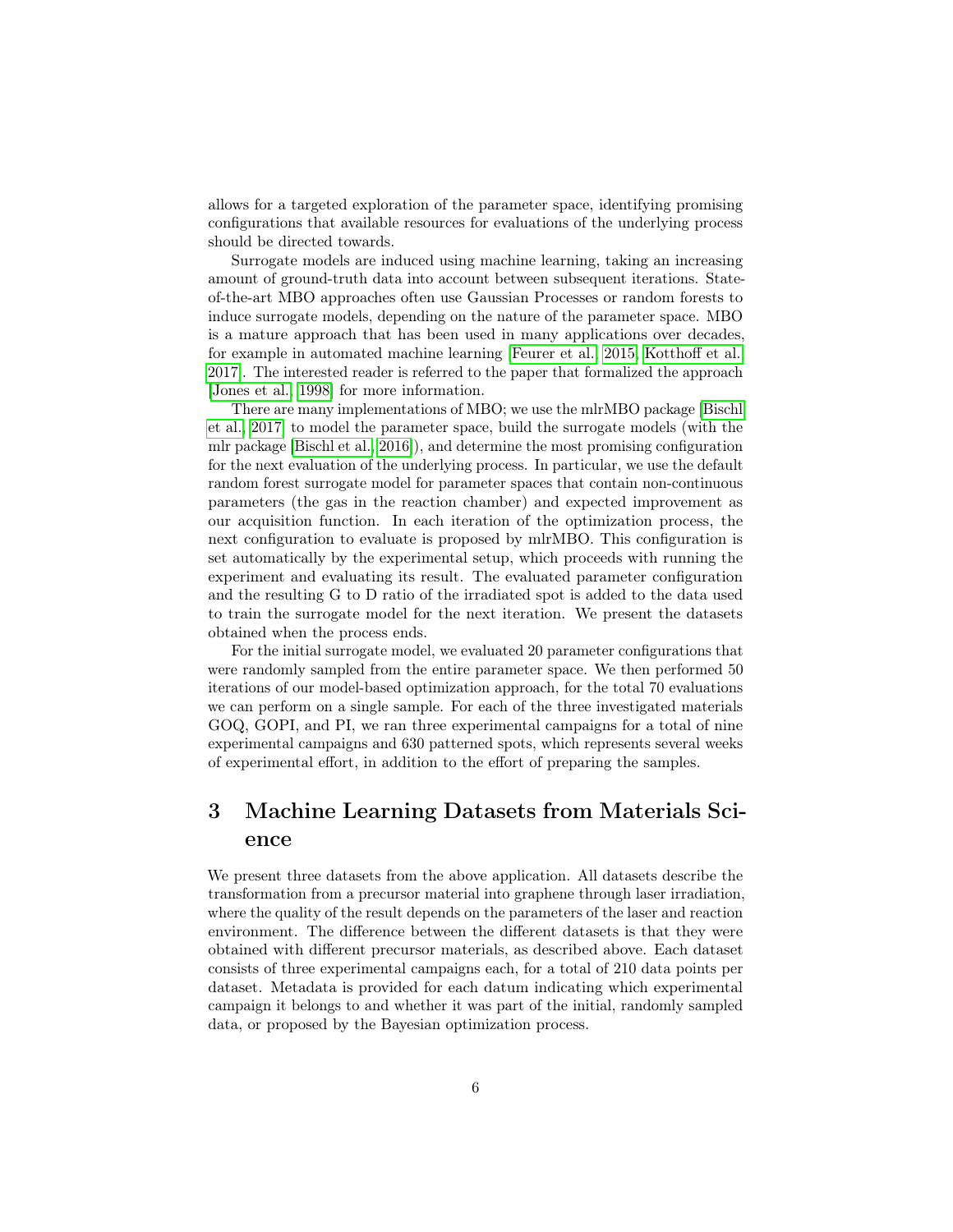allows for a targeted exploration of the parameter space, identifying promising configurations that available resources for evaluations of the underlying process should be directed towards.

Surrogate models are induced using machine learning, taking an increasing amount of ground-truth data into account between subsequent iterations. Stateof-the-art MBO approaches often use Gaussian Processes or random forests to induce surrogate models, depending on the nature of the parameter space. MBO is a mature approach that has been used in many applications over decades, for example in automated machine learning [\[Feurer et al., 2015,](#page-12-3) [Kotthoff et al.,](#page-12-4) [2017\]](#page-12-4). The interested reader is referred to the paper that formalized the approach [\[Jones et al., 1998\]](#page-12-5) for more information.

There are many implementations of MBO; we use the mlrMBO package [\[Bischl](#page-11-0) [et al., 2017\]](#page-11-0) to model the parameter space, build the surrogate models (with the mlr package [\[Bischl et al., 2016\]](#page-11-1)), and determine the most promising configuration for the next evaluation of the underlying process. In particular, we use the default random forest surrogate model for parameter spaces that contain non-continuous parameters (the gas in the reaction chamber) and expected improvement as our acquisition function. In each iteration of the optimization process, the next configuration to evaluate is proposed by mlrMBO. This configuration is set automatically by the experimental setup, which proceeds with running the experiment and evaluating its result. The evaluated parameter configuration and the resulting G to D ratio of the irradiated spot is added to the data used to train the surrogate model for the next iteration. We present the datasets obtained when the process ends.

For the initial surrogate model, we evaluated 20 parameter configurations that were randomly sampled from the entire parameter space. We then performed 50 iterations of our model-based optimization approach, for the total 70 evaluations we can perform on a single sample. For each of the three investigated materials GOQ, GOPI, and PI, we ran three experimental campaigns for a total of nine experimental campaigns and 630 patterned spots, which represents several weeks of experimental effort, in addition to the effort of preparing the samples.

# 3 Machine Learning Datasets from Materials Science

We present three datasets from the above application. All datasets describe the transformation from a precursor material into graphene through laser irradiation, where the quality of the result depends on the parameters of the laser and reaction environment. The difference between the different datasets is that they were obtained with different precursor materials, as described above. Each dataset consists of three experimental campaigns each, for a total of 210 data points per dataset. Metadata is provided for each datum indicating which experimental campaign it belongs to and whether it was part of the initial, randomly sampled data, or proposed by the Bayesian optimization process.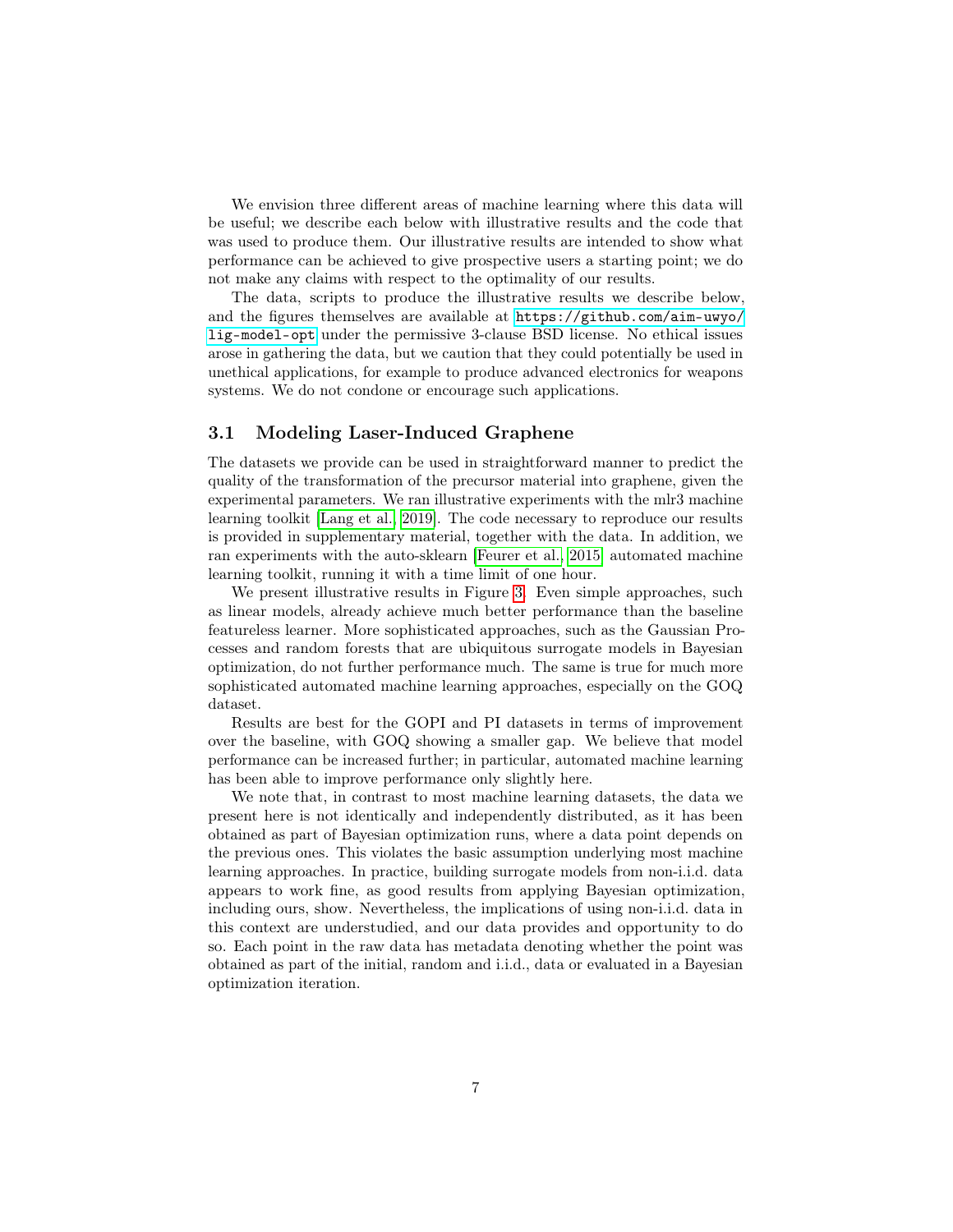We envision three different areas of machine learning where this data will be useful; we describe each below with illustrative results and the code that was used to produce them. Our illustrative results are intended to show what performance can be achieved to give prospective users a starting point; we do not make any claims with respect to the optimality of our results.

The data, scripts to produce the illustrative results we describe below, and the figures themselves are available at [https://github.com/aim-uwyo/](https://github.com/aim-uwyo/lig-model-opt) [lig-model-opt](https://github.com/aim-uwyo/lig-model-opt) under the permissive 3-clause BSD license. No ethical issues arose in gathering the data, but we caution that they could potentially be used in unethical applications, for example to produce advanced electronics for weapons systems. We do not condone or encourage such applications.

#### 3.1 Modeling Laser-Induced Graphene

The datasets we provide can be used in straightforward manner to predict the quality of the transformation of the precursor material into graphene, given the experimental parameters. We ran illustrative experiments with the mlr3 machine learning toolkit [\[Lang et al., 2019\]](#page-12-6). The code necessary to reproduce our results is provided in supplementary material, together with the data. In addition, we ran experiments with the auto-sklearn [\[Feurer et al., 2015\]](#page-12-3) automated machine learning toolkit, running it with a time limit of one hour.

We present illustrative results in Figure [3.](#page-7-0) Even simple approaches, such as linear models, already achieve much better performance than the baseline featureless learner. More sophisticated approaches, such as the Gaussian Processes and random forests that are ubiquitous surrogate models in Bayesian optimization, do not further performance much. The same is true for much more sophisticated automated machine learning approaches, especially on the GOQ dataset.

Results are best for the GOPI and PI datasets in terms of improvement over the baseline, with GOQ showing a smaller gap. We believe that model performance can be increased further; in particular, automated machine learning has been able to improve performance only slightly here.

We note that, in contrast to most machine learning datasets, the data we present here is not identically and independently distributed, as it has been obtained as part of Bayesian optimization runs, where a data point depends on the previous ones. This violates the basic assumption underlying most machine learning approaches. In practice, building surrogate models from non-i.i.d. data appears to work fine, as good results from applying Bayesian optimization, including ours, show. Nevertheless, the implications of using non-i.i.d. data in this context are understudied, and our data provides and opportunity to do so. Each point in the raw data has metadata denoting whether the point was obtained as part of the initial, random and i.i.d., data or evaluated in a Bayesian optimization iteration.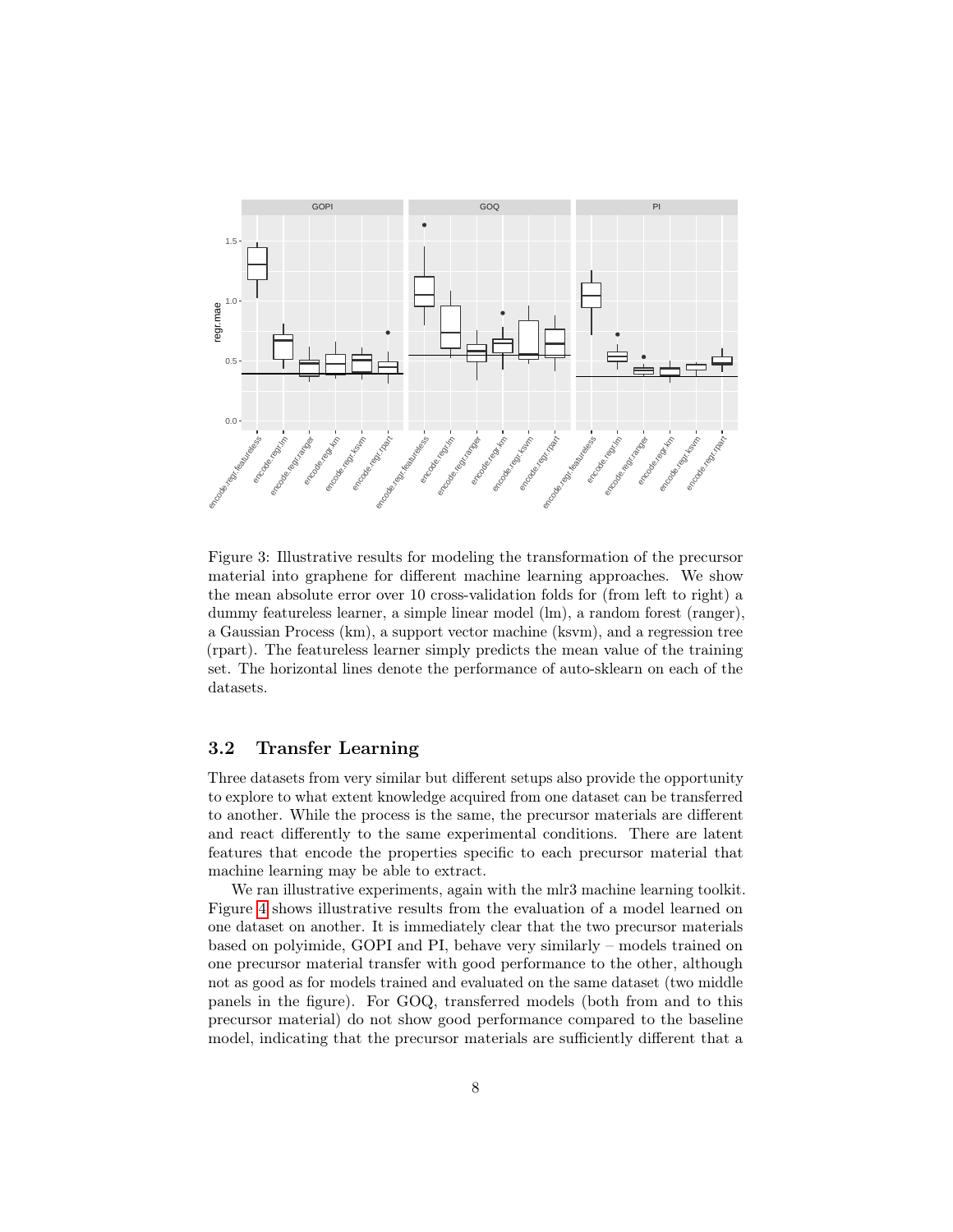

<span id="page-7-0"></span>Figure 3: Illustrative results for modeling the transformation of the precursor material into graphene for different machine learning approaches. We show the mean absolute error over 10 cross-validation folds for (from left to right) a dummy featureless learner, a simple linear model (lm), a random forest (ranger), a Gaussian Process (km), a support vector machine (ksvm), and a regression tree (rpart). The featureless learner simply predicts the mean value of the training set. The horizontal lines denote the performance of auto-sklearn on each of the datasets.

#### 3.2 Transfer Learning

Three datasets from very similar but different setups also provide the opportunity to explore to what extent knowledge acquired from one dataset can be transferred to another. While the process is the same, the precursor materials are different and react differently to the same experimental conditions. There are latent features that encode the properties specific to each precursor material that machine learning may be able to extract.

We ran illustrative experiments, again with the mlr3 machine learning toolkit. Figure [4](#page-8-0) shows illustrative results from the evaluation of a model learned on one dataset on another. It is immediately clear that the two precursor materials based on polyimide, GOPI and PI, behave very similarly – models trained on one precursor material transfer with good performance to the other, although not as good as for models trained and evaluated on the same dataset (two middle panels in the figure). For GOQ, transferred models (both from and to this precursor material) do not show good performance compared to the baseline model, indicating that the precursor materials are sufficiently different that a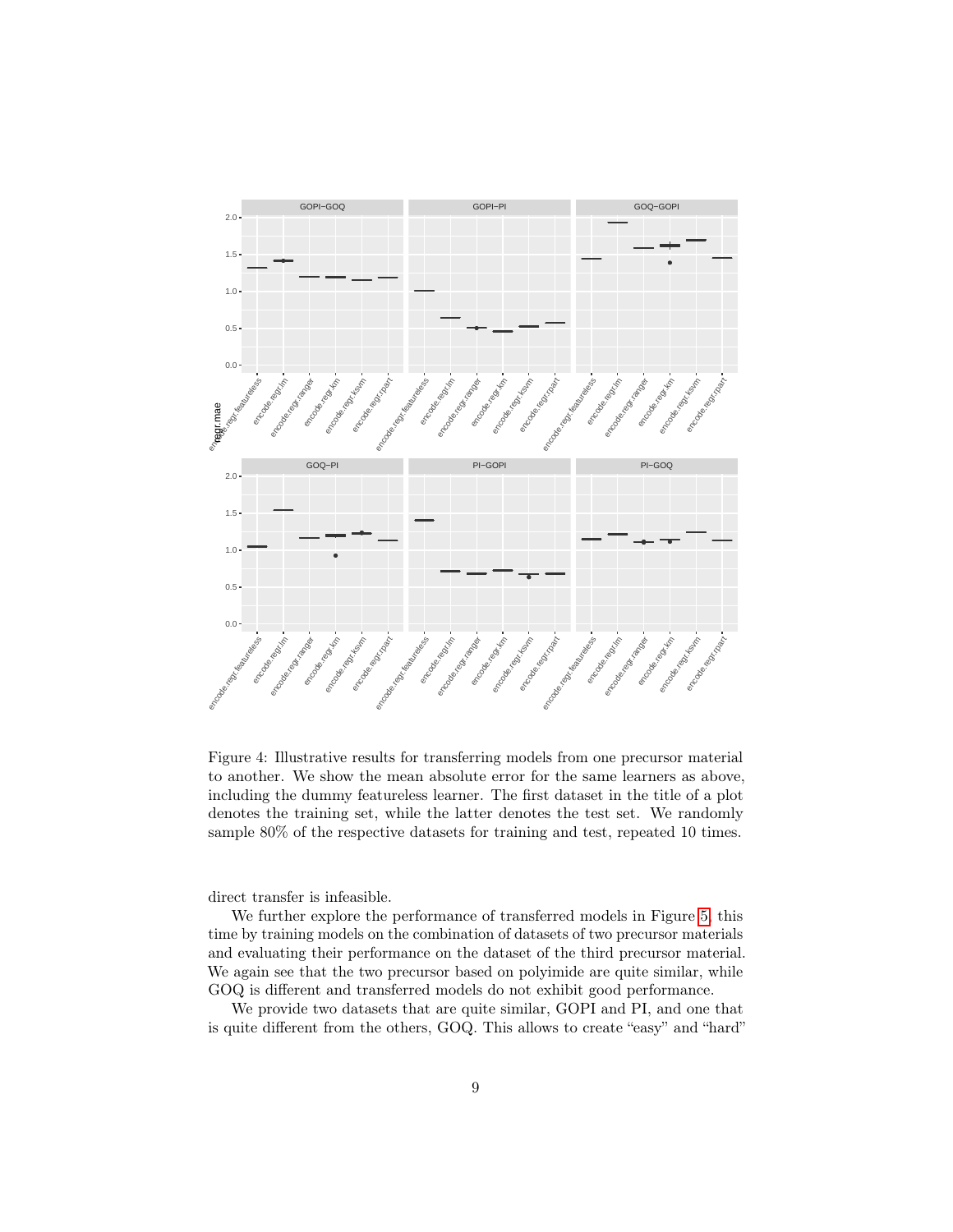

<span id="page-8-0"></span>Figure 4: Illustrative results for transferring models from one precursor material to another. We show the mean absolute error for the same learners as above, including the dummy featureless learner. The first dataset in the title of a plot denotes the training set, while the latter denotes the test set. We randomly sample 80% of the respective datasets for training and test, repeated 10 times.

direct transfer is infeasible.

We further explore the performance of transferred models in Figure [5,](#page-9-0) this time by training models on the combination of datasets of two precursor materials and evaluating their performance on the dataset of the third precursor material. We again see that the two precursor based on polyimide are quite similar, while GOQ is different and transferred models do not exhibit good performance.

We provide two datasets that are quite similar, GOPI and PI, and one that is quite different from the others, GOQ. This allows to create "easy" and "hard"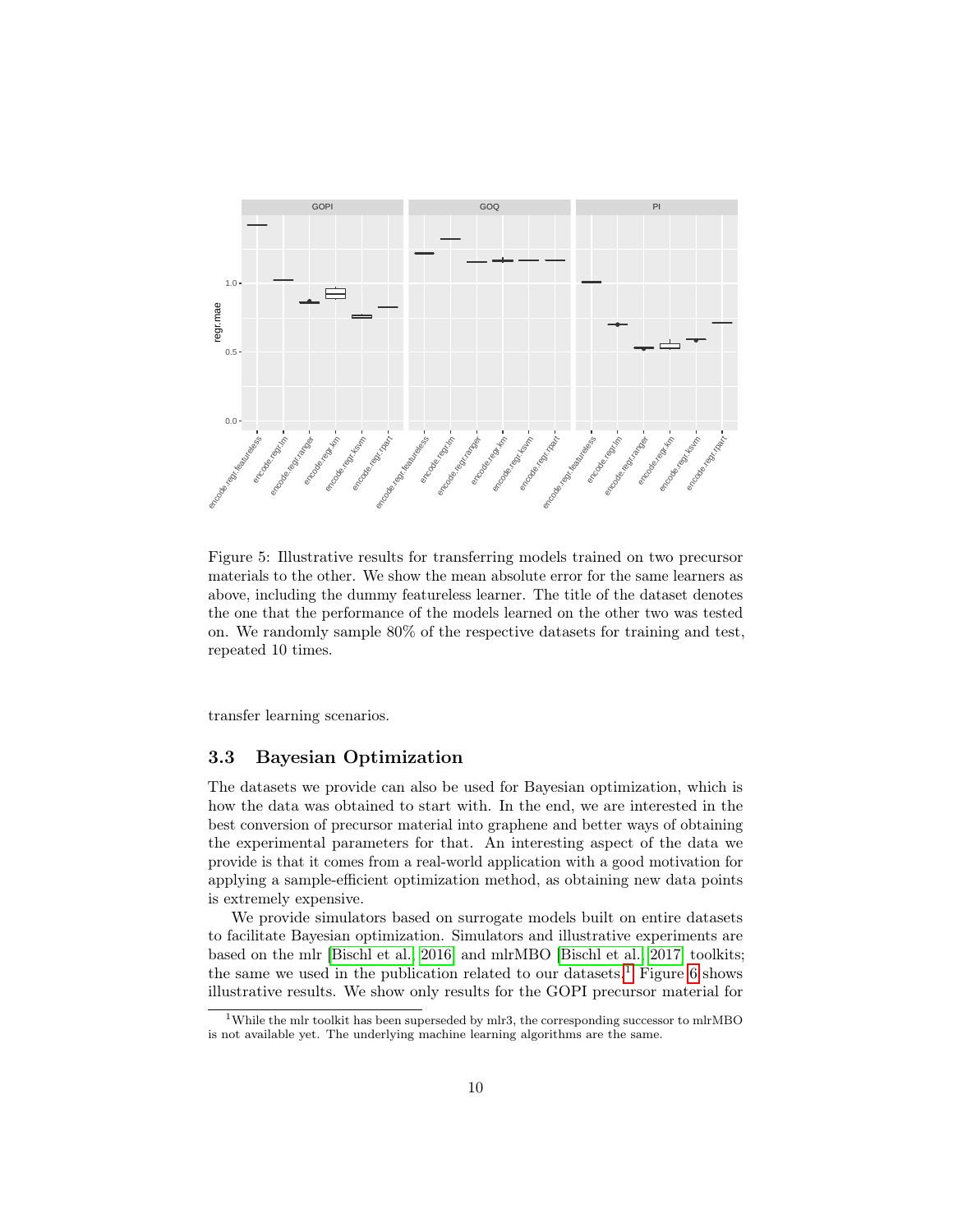

<span id="page-9-0"></span>Figure 5: Illustrative results for transferring models trained on two precursor materials to the other. We show the mean absolute error for the same learners as above, including the dummy featureless learner. The title of the dataset denotes the one that the performance of the models learned on the other two was tested on. We randomly sample 80% of the respective datasets for training and test, repeated 10 times.

transfer learning scenarios.

#### 3.3 Bayesian Optimization

The datasets we provide can also be used for Bayesian optimization, which is how the data was obtained to start with. In the end, we are interested in the best conversion of precursor material into graphene and better ways of obtaining the experimental parameters for that. An interesting aspect of the data we provide is that it comes from a real-world application with a good motivation for applying a sample-efficient optimization method, as obtaining new data points is extremely expensive.

We provide simulators based on surrogate models built on entire datasets to facilitate Bayesian optimization. Simulators and illustrative experiments are based on the mlr [\[Bischl et al., 2016\]](#page-11-1) and mlrMBO [\[Bischl et al., 2017\]](#page-11-0) toolkits; the same we used in the publication related to our datasets.<sup>[1](#page-9-1)</sup> Figure [6](#page-10-0) shows illustrative results. We show only results for the GOPI precursor material for

<span id="page-9-1"></span> $1$ While the mlr toolkit has been superseded by mlr3, the corresponding successor to mlrMBO is not available yet. The underlying machine learning algorithms are the same.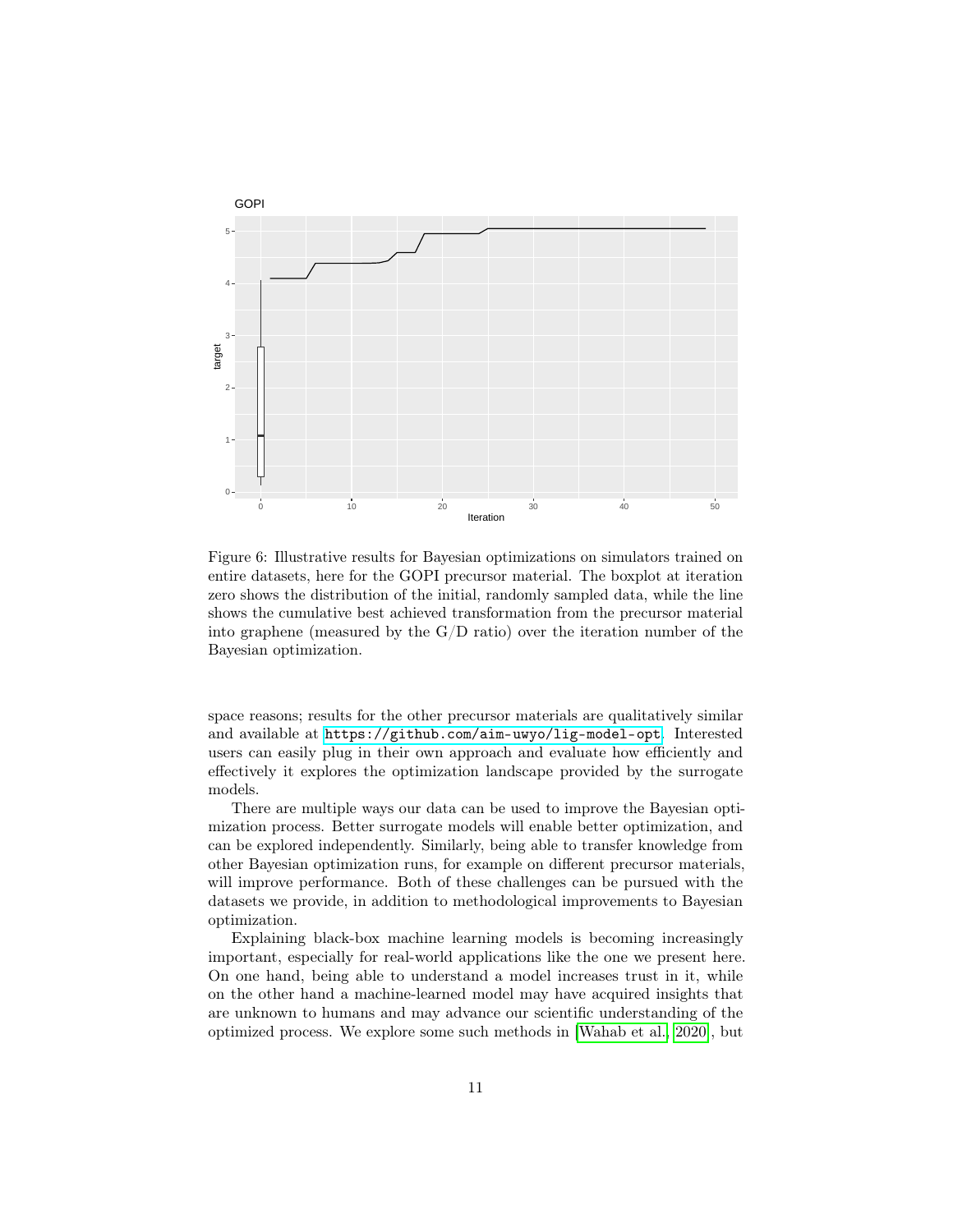

<span id="page-10-0"></span>Figure 6: Illustrative results for Bayesian optimizations on simulators trained on entire datasets, here for the GOPI precursor material. The boxplot at iteration zero shows the distribution of the initial, randomly sampled data, while the line shows the cumulative best achieved transformation from the precursor material into graphene (measured by the  $G/D$  ratio) over the iteration number of the Bayesian optimization.

space reasons; results for the other precursor materials are qualitatively similar and available at <https://github.com/aim-uwyo/lig-model-opt>. Interested users can easily plug in their own approach and evaluate how efficiently and effectively it explores the optimization landscape provided by the surrogate models.

There are multiple ways our data can be used to improve the Bayesian optimization process. Better surrogate models will enable better optimization, and can be explored independently. Similarly, being able to transfer knowledge from other Bayesian optimization runs, for example on different precursor materials, will improve performance. Both of these challenges can be pursued with the datasets we provide, in addition to methodological improvements to Bayesian optimization.

Explaining black-box machine learning models is becoming increasingly important, especially for real-world applications like the one we present here. On one hand, being able to understand a model increases trust in it, while on the other hand a machine-learned model may have acquired insights that are unknown to humans and may advance our scientific understanding of the optimized process. We explore some such methods in [\[Wahab et al., 2020\]](#page-13-6), but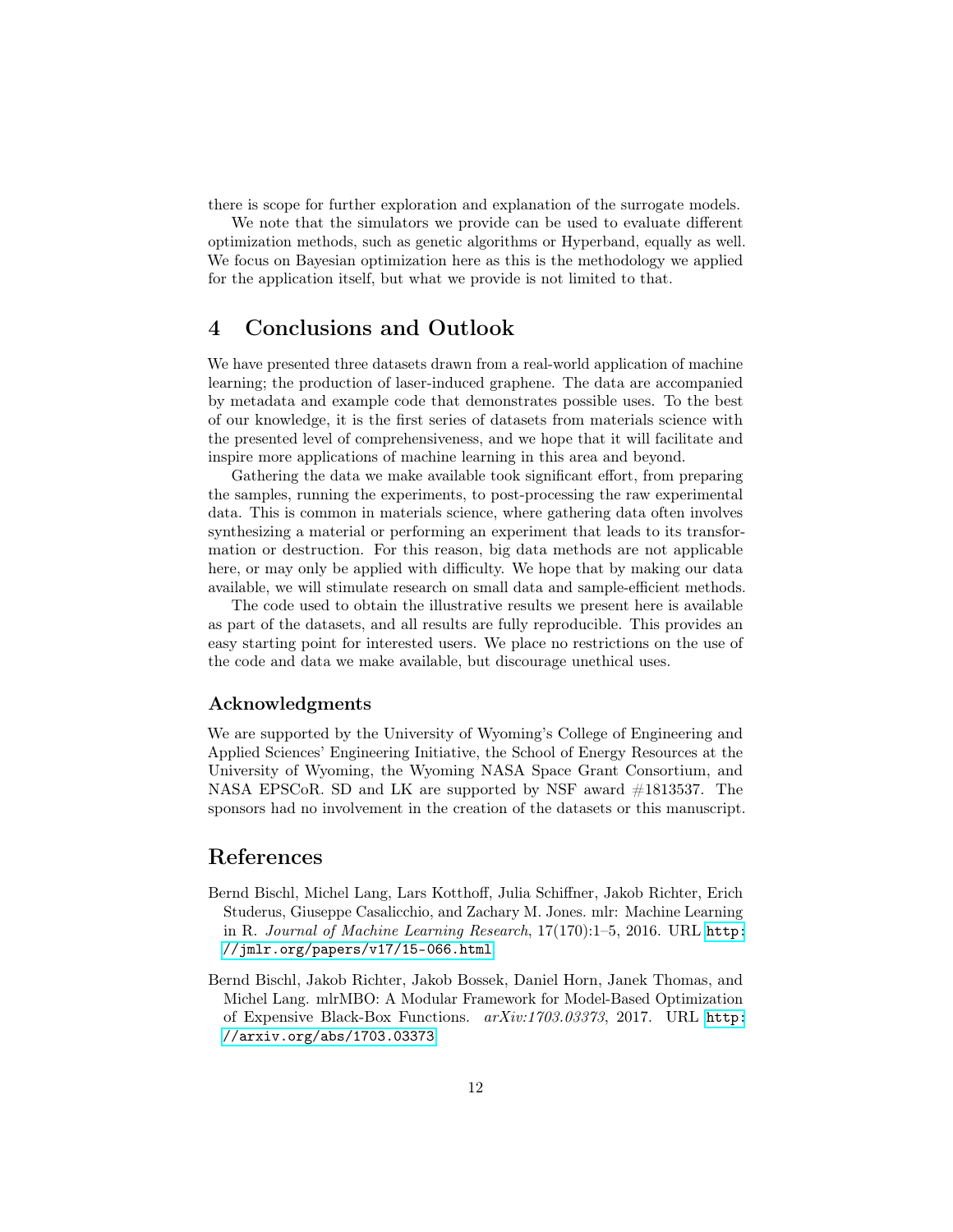there is scope for further exploration and explanation of the surrogate models.

We note that the simulators we provide can be used to evaluate different optimization methods, such as genetic algorithms or Hyperband, equally as well. We focus on Bayesian optimization here as this is the methodology we applied for the application itself, but what we provide is not limited to that.

## 4 Conclusions and Outlook

We have presented three datasets drawn from a real-world application of machine learning; the production of laser-induced graphene. The data are accompanied by metadata and example code that demonstrates possible uses. To the best of our knowledge, it is the first series of datasets from materials science with the presented level of comprehensiveness, and we hope that it will facilitate and inspire more applications of machine learning in this area and beyond.

Gathering the data we make available took significant effort, from preparing the samples, running the experiments, to post-processing the raw experimental data. This is common in materials science, where gathering data often involves synthesizing a material or performing an experiment that leads to its transformation or destruction. For this reason, big data methods are not applicable here, or may only be applied with difficulty. We hope that by making our data available, we will stimulate research on small data and sample-efficient methods.

The code used to obtain the illustrative results we present here is available as part of the datasets, and all results are fully reproducible. This provides an easy starting point for interested users. We place no restrictions on the use of the code and data we make available, but discourage unethical uses.

#### Acknowledgments

We are supported by the University of Wyoming's College of Engineering and Applied Sciences' Engineering Initiative, the School of Energy Resources at the University of Wyoming, the Wyoming NASA Space Grant Consortium, and NASA EPSCoR. SD and LK are supported by NSF award #1813537. The sponsors had no involvement in the creation of the datasets or this manuscript.

### References

- <span id="page-11-1"></span>Bernd Bischl, Michel Lang, Lars Kotthoff, Julia Schiffner, Jakob Richter, Erich Studerus, Giuseppe Casalicchio, and Zachary M. Jones. mlr: Machine Learning in R. Journal of Machine Learning Research, 17(170):1–5, 2016. URL [http:](http://jmlr.org/papers/v17/15-066.html) [//jmlr.org/papers/v17/15-066.html](http://jmlr.org/papers/v17/15-066.html).
- <span id="page-11-0"></span>Bernd Bischl, Jakob Richter, Jakob Bossek, Daniel Horn, Janek Thomas, and Michel Lang. mlrMBO: A Modular Framework for Model-Based Optimization of Expensive Black-Box Functions. arXiv:1703.03373, 2017. URL [http:](http://arxiv.org/abs/1703.03373) [//arxiv.org/abs/1703.03373](http://arxiv.org/abs/1703.03373).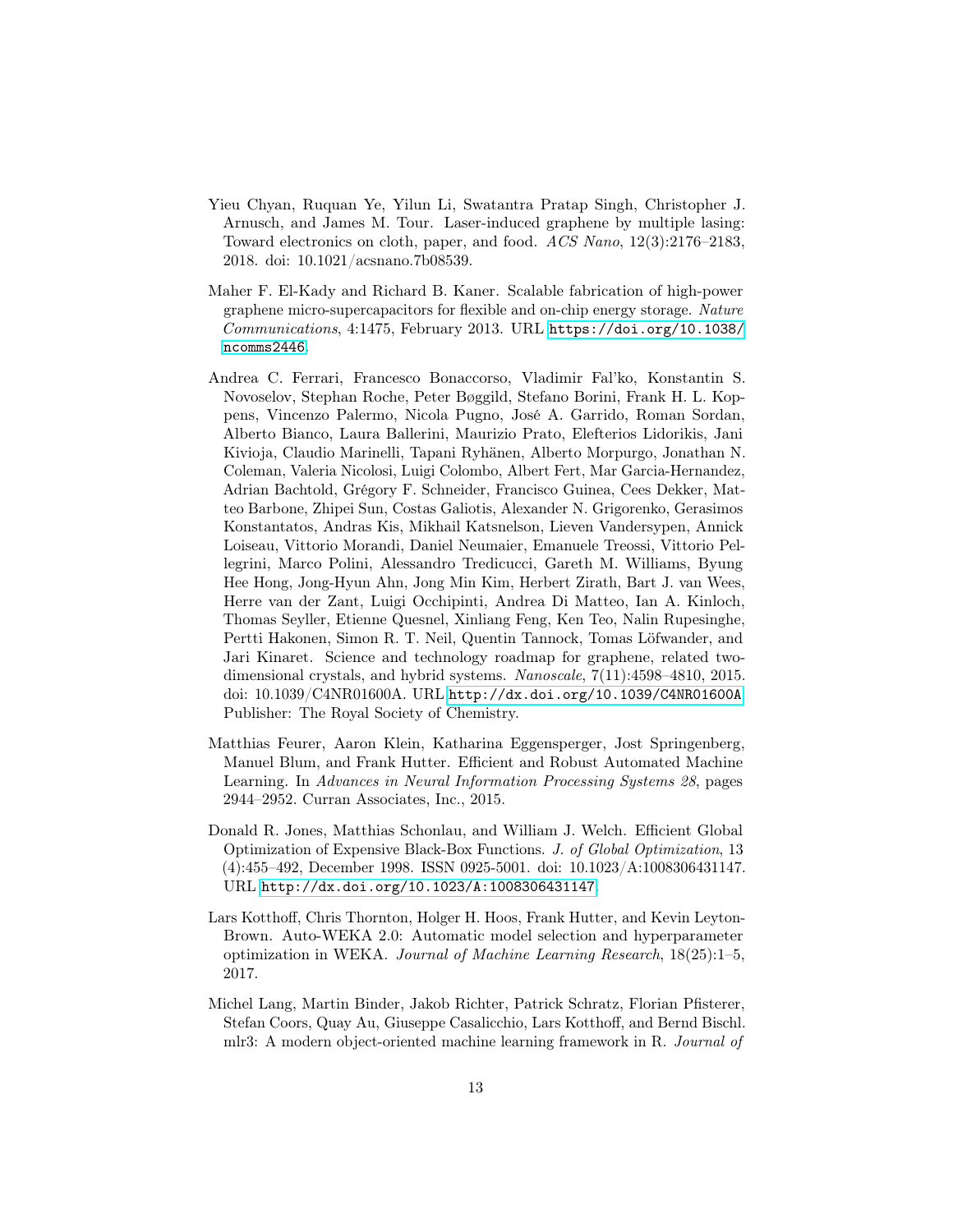- <span id="page-12-1"></span>Yieu Chyan, Ruquan Ye, Yilun Li, Swatantra Pratap Singh, Christopher J. Arnusch, and James M. Tour. Laser-induced graphene by multiple lasing: Toward electronics on cloth, paper, and food. ACS Nano, 12(3):2176–2183, 2018. doi: 10.1021/acsnano.7b08539.
- <span id="page-12-2"></span>Maher F. El-Kady and Richard B. Kaner. Scalable fabrication of high-power graphene micro-supercapacitors for flexible and on-chip energy storage. Nature Communications, 4:1475, February 2013. URL [https://doi.org/10.1038/](https://doi.org/10.1038/ncomms2446) [ncomms2446](https://doi.org/10.1038/ncomms2446).
- <span id="page-12-0"></span>Andrea C. Ferrari, Francesco Bonaccorso, Vladimir Fal'ko, Konstantin S. Novoselov, Stephan Roche, Peter Bøggild, Stefano Borini, Frank H. L. Koppens, Vincenzo Palermo, Nicola Pugno, José A. Garrido, Roman Sordan, Alberto Bianco, Laura Ballerini, Maurizio Prato, Elefterios Lidorikis, Jani Kivioja, Claudio Marinelli, Tapani Ryhänen, Alberto Morpurgo, Jonathan N. Coleman, Valeria Nicolosi, Luigi Colombo, Albert Fert, Mar Garcia-Hernandez, Adrian Bachtold, Grégory F. Schneider, Francisco Guinea, Cees Dekker, Matteo Barbone, Zhipei Sun, Costas Galiotis, Alexander N. Grigorenko, Gerasimos Konstantatos, Andras Kis, Mikhail Katsnelson, Lieven Vandersypen, Annick Loiseau, Vittorio Morandi, Daniel Neumaier, Emanuele Treossi, Vittorio Pellegrini, Marco Polini, Alessandro Tredicucci, Gareth M. Williams, Byung Hee Hong, Jong-Hyun Ahn, Jong Min Kim, Herbert Zirath, Bart J. van Wees, Herre van der Zant, Luigi Occhipinti, Andrea Di Matteo, Ian A. Kinloch, Thomas Seyller, Etienne Quesnel, Xinliang Feng, Ken Teo, Nalin Rupesinghe, Pertti Hakonen, Simon R. T. Neil, Quentin Tannock, Tomas Löfwander, and Jari Kinaret. Science and technology roadmap for graphene, related twodimensional crystals, and hybrid systems. Nanoscale, 7(11):4598–4810, 2015. doi: 10.1039/C4NR01600A. URL <http://dx.doi.org/10.1039/C4NR01600A>. Publisher: The Royal Society of Chemistry.
- <span id="page-12-3"></span>Matthias Feurer, Aaron Klein, Katharina Eggensperger, Jost Springenberg, Manuel Blum, and Frank Hutter. Efficient and Robust Automated Machine Learning. In Advances in Neural Information Processing Systems 28, pages 2944–2952. Curran Associates, Inc., 2015.
- <span id="page-12-5"></span>Donald R. Jones, Matthias Schonlau, and William J. Welch. Efficient Global Optimization of Expensive Black-Box Functions. J. of Global Optimization, 13 (4):455–492, December 1998. ISSN 0925-5001. doi: 10.1023/A:1008306431147. URL <http://dx.doi.org/10.1023/A:1008306431147>.
- <span id="page-12-4"></span>Lars Kotthoff, Chris Thornton, Holger H. Hoos, Frank Hutter, and Kevin Leyton-Brown. Auto-WEKA 2.0: Automatic model selection and hyperparameter optimization in WEKA. Journal of Machine Learning Research, 18(25):1–5, 2017.
- <span id="page-12-6"></span>Michel Lang, Martin Binder, Jakob Richter, Patrick Schratz, Florian Pfisterer, Stefan Coors, Quay Au, Giuseppe Casalicchio, Lars Kotthoff, and Bernd Bischl. mlr3: A modern object-oriented machine learning framework in R. Journal of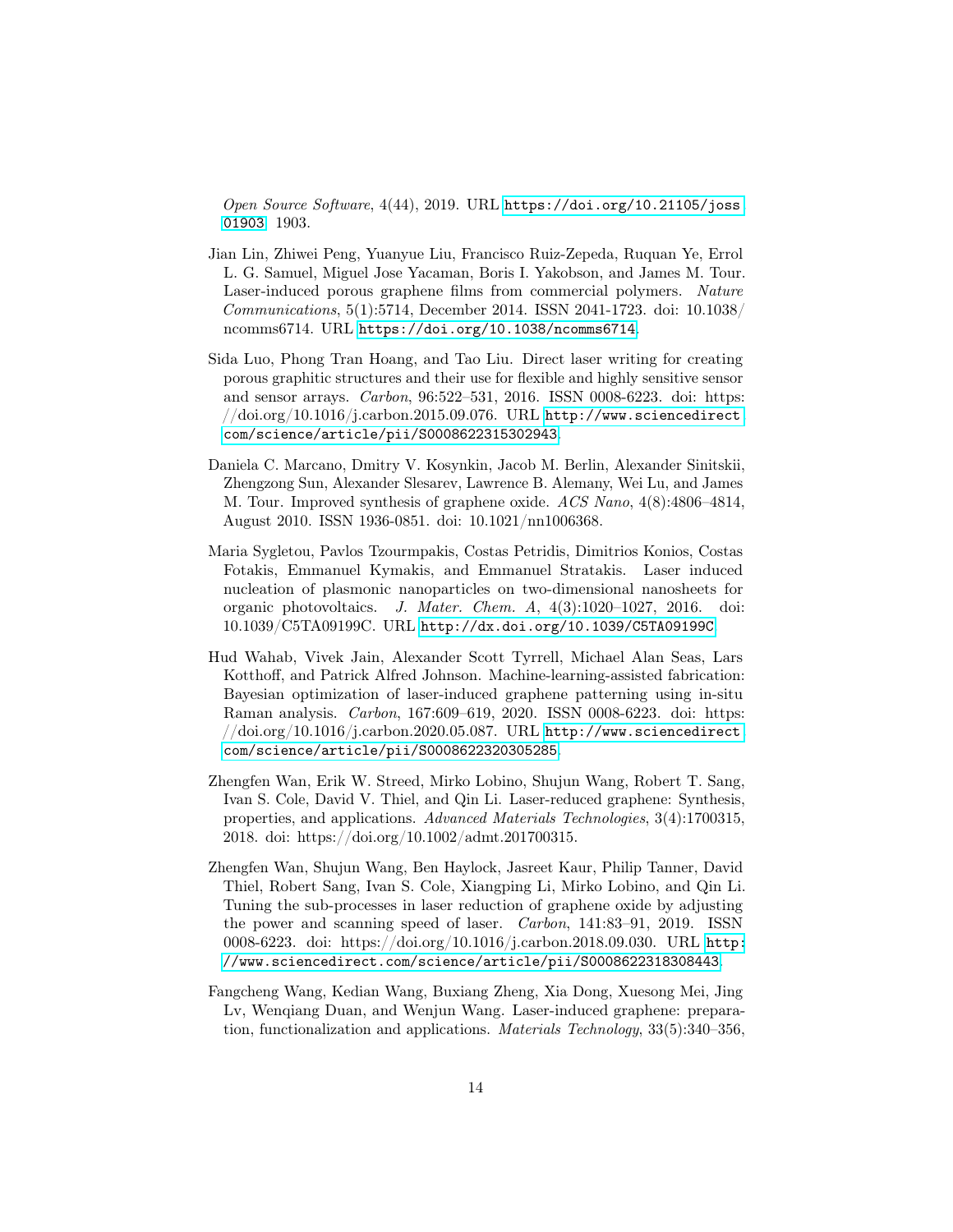Open Source Software, 4(44), 2019. URL [https://doi.org/10.21105/joss.](https://doi.org/10.21105/joss.01903) [01903](https://doi.org/10.21105/joss.01903). 1903.

- <span id="page-13-1"></span>Jian Lin, Zhiwei Peng, Yuanyue Liu, Francisco Ruiz-Zepeda, Ruquan Ye, Errol L. G. Samuel, Miguel Jose Yacaman, Boris I. Yakobson, and James M. Tour. Laser-induced porous graphene films from commercial polymers. Nature Communications, 5(1):5714, December 2014. ISSN 2041-1723. doi: 10.1038/ ncomms6714. URL <https://doi.org/10.1038/ncomms6714>.
- <span id="page-13-0"></span>Sida Luo, Phong Tran Hoang, and Tao Liu. Direct laser writing for creating porous graphitic structures and their use for flexible and highly sensitive sensor and sensor arrays. Carbon, 96:522–531, 2016. ISSN 0008-6223. doi: https:  $\frac{1}{\d{1}}$  /doi.org/10.1016/j.carbon.2015.09.076. URL [http://www.sciencedirect.](http://www.sciencedirect.com/science/article/pii/S0008622315302943) [com/science/article/pii/S0008622315302943](http://www.sciencedirect.com/science/article/pii/S0008622315302943).
- <span id="page-13-7"></span>Daniela C. Marcano, Dmitry V. Kosynkin, Jacob M. Berlin, Alexander Sinitskii, Zhengzong Sun, Alexander Slesarev, Lawrence B. Alemany, Wei Lu, and James M. Tour. Improved synthesis of graphene oxide. ACS Nano, 4(8):4806–4814, August 2010. ISSN 1936-0851. doi: 10.1021/nn1006368.
- <span id="page-13-2"></span>Maria Sygletou, Pavlos Tzourmpakis, Costas Petridis, Dimitrios Konios, Costas Fotakis, Emmanuel Kymakis, and Emmanuel Stratakis. Laser induced nucleation of plasmonic nanoparticles on two-dimensional nanosheets for organic photovoltaics. J. Mater. Chem. A, 4(3):1020–1027, 2016. doi: 10.1039/C5TA09199C. URL <http://dx.doi.org/10.1039/C5TA09199C>.
- <span id="page-13-6"></span>Hud Wahab, Vivek Jain, Alexander Scott Tyrrell, Michael Alan Seas, Lars Kotthoff, and Patrick Alfred Johnson. Machine-learning-assisted fabrication: Bayesian optimization of laser-induced graphene patterning using in-situ Raman analysis. Carbon, 167:609–619, 2020. ISSN 0008-6223. doi: https:  $\frac{1}{\d{1}}$  /doi.org/10.1016/j.carbon.2020.05.087. URL [http://www.sciencedirect.](http://www.sciencedirect.com/science/article/pii/S0008622320305285) [com/science/article/pii/S0008622320305285](http://www.sciencedirect.com/science/article/pii/S0008622320305285).
- <span id="page-13-4"></span>Zhengfen Wan, Erik W. Streed, Mirko Lobino, Shujun Wang, Robert T. Sang, Ivan S. Cole, David V. Thiel, and Qin Li. Laser-reduced graphene: Synthesis, properties, and applications. Advanced Materials Technologies, 3(4):1700315, 2018. doi: https://doi.org/10.1002/admt.201700315.
- <span id="page-13-5"></span>Zhengfen Wan, Shujun Wang, Ben Haylock, Jasreet Kaur, Philip Tanner, David Thiel, Robert Sang, Ivan S. Cole, Xiangping Li, Mirko Lobino, and Qin Li. Tuning the sub-processes in laser reduction of graphene oxide by adjusting the power and scanning speed of laser. Carbon, 141:83–91, 2019. ISSN 0008-6223. doi: https://doi.org/10.1016/j.carbon.2018.09.030. URL [http:](http://www.sciencedirect.com/science/article/pii/S0008622318308443) [//www.sciencedirect.com/science/article/pii/S0008622318308443](http://www.sciencedirect.com/science/article/pii/S0008622318308443).
- <span id="page-13-3"></span>Fangcheng Wang, Kedian Wang, Buxiang Zheng, Xia Dong, Xuesong Mei, Jing Lv, Wenqiang Duan, and Wenjun Wang. Laser-induced graphene: preparation, functionalization and applications. Materials Technology, 33(5):340–356,